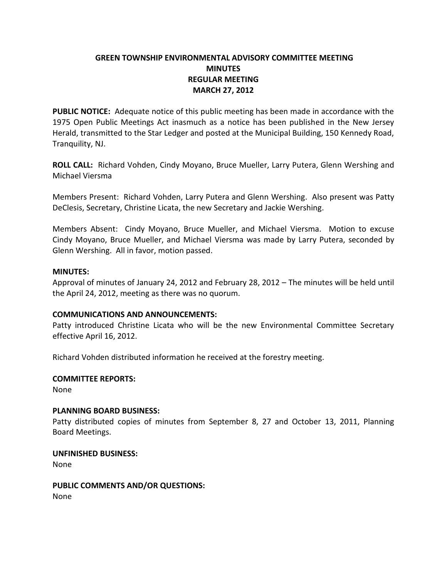# **GREEN TOWNSHIP ENVIRONMENTAL ADVISORY COMMITTEE MEETING MINUTES REGULAR MEETING MARCH 27, 2012**

**PUBLIC NOTICE:** Adequate notice of this public meeting has been made in accordance with the 1975 Open Public Meetings Act inasmuch as a notice has been published in the New Jersey Herald, transmitted to the Star Ledger and posted at the Municipal Building, 150 Kennedy Road, Tranquility, NJ.

**ROLL CALL:** Richard Vohden, Cindy Moyano, Bruce Mueller, Larry Putera, Glenn Wershing and Michael Viersma

Members Present: Richard Vohden, Larry Putera and Glenn Wershing. Also present was Patty DeClesis, Secretary, Christine Licata, the new Secretary and Jackie Wershing.

Members Absent: Cindy Moyano, Bruce Mueller, and Michael Viersma. Motion to excuse Cindy Moyano, Bruce Mueller, and Michael Viersma was made by Larry Putera, seconded by Glenn Wershing. All in favor, motion passed.

## **MINUTES:**

Approval of minutes of January 24, 2012 and February 28, 2012 – The minutes will be held until the April 24, 2012, meeting as there was no quorum.

## **COMMUNICATIONS AND ANNOUNCEMENTS:**

Patty introduced Christine Licata who will be the new Environmental Committee Secretary effective April 16, 2012.

Richard Vohden distributed information he received at the forestry meeting.

## **COMMITTEE REPORTS:**

None

#### **PLANNING BOARD BUSINESS:**

Patty distributed copies of minutes from September 8, 27 and October 13, 2011, Planning Board Meetings.

**UNFINISHED BUSINESS:**

None

**PUBLIC COMMENTS AND/OR QUESTIONS:** None